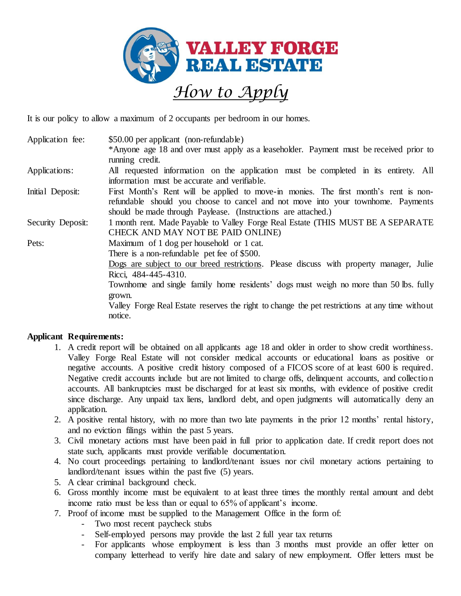

It is our policy to allow a maximum of 2 occupants per bedroom in our homes.

Application fee:  $$50.00$  per applicant (non-refundable) \*Anyone age 18 and over must apply as a leaseholder. Payment must be received prior to running credit.

- Applications: All requested information on the application must be completed in its entirety. All information must be accurate and verifiable.
- Initial Deposit: First Month's Rent will be applied to move-in monies. The first month's rent is nonrefundable should you choose to cancel and not move into your townhome. Payments should be made through Paylease. (Instructions are attached.)

Security Deposit: 1 month rent. Made Payable to Valley Forge Real Estate (THIS MUST BE A SEPARATE CHECK AND MAY NOT BE PAID ONLINE)

Pets: Maximum of 1 dog per household or 1 cat.

There is a non-refundable pet fee of \$500.

Dogs are subject to our breed restrictions. Please discuss with property manager, Julie Ricci, 484-445-4310.

Townhome and single family home residents' dogs must weigh no more than 50 lbs. fully grown.

Valley Forge Real Estate reserves the right to change the pet restrictions at any time without notice.

## **Applicant Requirements:**

- 1. A credit report will be obtained on all applicants age 18 and older in order to show credit worthiness. Valley Forge Real Estate will not consider medical accounts or educational loans as positive or negative accounts. A positive credit history composed of a FICOS score of at least 600 is required. Negative credit accounts include but are not limited to charge offs, delinquent accounts, and collection accounts. All bankruptcies must be discharged for at least six months, with evidence of positive credit since discharge. Any unpaid tax liens, landlord debt, and open judgments will automatically deny an application.
- 2. A positive rental history, with no more than two late payments in the prior 12 months' rental history, and no eviction filings within the past 5 years.
- 3. Civil monetary actions must have been paid in full prior to application date. If credit report does not state such, applicants must provide verifiable documentation.
- 4. No court proceedings pertaining to landlord/tenant issues nor civil monetary actions pertaining to landlord/tenant issues within the past five (5) years.
- 5. A clear criminal background check.
- 6. Gross monthly income must be equivalent to at least three times the monthly rental amount and debt income ratio must be less than or equal to 65% of applicant's income.
- 7. Proof of income must be supplied to the Management Office in the form of:
	- Two most recent paycheck stubs
	- Self-employed persons may provide the last 2 full year tax returns
	- For applicants whose employment is less than 3 months must provide an offer letter on company letterhead to verify hire date and salary of new employment. Offer letters must be